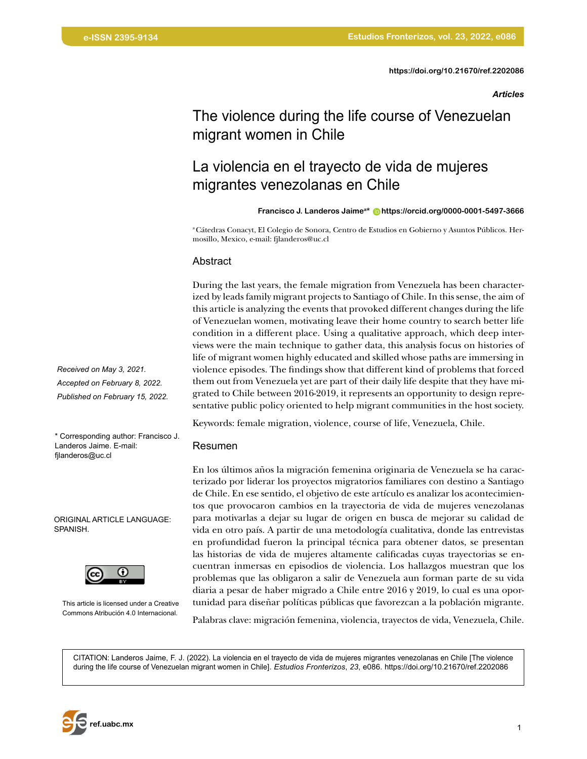*Articles*

# The violence during the life course of Venezuelan migrant women in Chile

# La violencia en el trayecto de vida de mujeres migrantes venezolanas en Chile

**Francisco J. Landeros Jaimea\* [https://orcid.org/0000-0001-5497-3666](https://orcid.org/0000-0001-5497-3666 )**

a Cátedras Conacyt, El Colegio de Sonora, Centro de Estudios en Gobierno y Asuntos Públicos. Hermosillo, Mexico, e-mail: fjlanderos@uc.cl

#### Abstract

During the last years, the female migration from Venezuela has been characterized by leads family migrant projects to Santiago of Chile. In this sense, the aim of this article is analyzing the events that provoked different changes during the life of Venezuelan women, motivating leave their home country to search better life condition in a different place. Using a qualitative approach, which deep interviews were the main technique to gather data, this analysis focus on histories of life of migrant women highly educated and skilled whose paths are immersing in violence episodes. The findings show that different kind of problems that forced them out from Venezuela yet are part of their daily life despite that they have migrated to Chile between 2016-2019, it represents an opportunity to design representative public policy oriented to help migrant communities in the host society.

Keywords: female migration, violence, course of life, Venezuela, Chile.

#### Resumen

En los últimos años la migración femenina originaria de Venezuela se ha caracterizado por liderar los proyectos migratorios familiares con destino a Santiago de Chile. En ese sentido, el objetivo de este artículo es analizar los acontecimientos que provocaron cambios en la trayectoria de vida de mujeres venezolanas para motivarlas a dejar su lugar de origen en busca de mejorar su calidad de vida en otro país. A partir de una metodología cualitativa, donde las entrevistas en profundidad fueron la principal técnica para obtener datos, se presentan las historias de vida de mujeres altamente calificadas cuyas trayectorias se encuentran inmersas en episodios de violencia. Los hallazgos muestran que los problemas que las obligaron a salir de Venezuela aun forman parte de su vida diaria a pesar de haber migrado a Chile entre 2016 y 2019, lo cual es una oportunidad para diseñar políticas públicas que favorezcan a la población migrante.

Palabras clave: migración femenina, violencia, trayectos de vida, Venezuela, Chile.

CITATION: Landeros Jaime, F. J. (2022). La violencia en el trayecto de vida de mujeres migrantes venezolanas en Chile [The violence during the life course of Venezuelan migrant women in Chile]. *Estudios Fronterizos*, *23*, e086.<https://doi.org/10.21670/ref.2202086>

*Received on May 3, 2021. Accepted on February 8, 2022. Published on February 15, 2022.*

\* Corresponding author: Francisco J. Landeros Jaime. E-mail: fjlanderos@uc.cl

ORIGINAL ARTICLE LANGUAGE: SPANISH.



This article is licensed under a Creative Commons Atribución 4.0 Internacional.

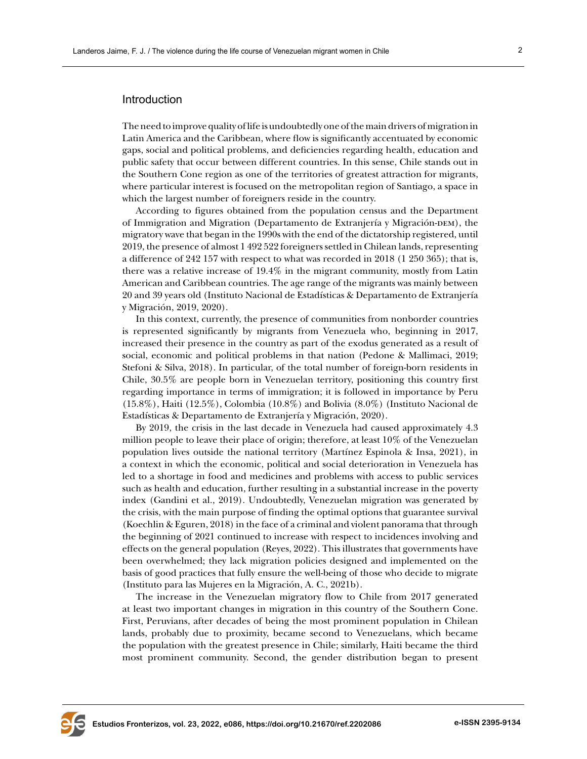# Introduction

The need to improve quality of life is undoubtedly one of the main drivers of migration in Latin America and the Caribbean, where flow is significantly accentuated by economic gaps, social and political problems, and deficiencies regarding health, education and public safety that occur between different countries. In this sense, Chile stands out in the Southern Cone region as one of the territories of greatest attraction for migrants, where particular interest is focused on the metropolitan region of Santiago, a space in which the largest number of foreigners reside in the country.

According to figures obtained from the population census and the Department of Immigration and Migration (Departamento de Extranjería y Migración-DEM), the migratory wave that began in the 1990s with the end of the dictatorship registered, until 2019, the presence of almost 1 492 522 foreigners settled in Chilean lands, representing a difference of 242 157 with respect to what was recorded in 2018 (1 250 365); that is, there was a relative increase of 19.4% in the migrant community, mostly from Latin American and Caribbean countries. The age range of the migrants was mainly between 20 and 39 years old (Instituto Nacional de Estadísticas & Departamento de Extranjería y Migración, 2019, 2020).

In this context, currently, the presence of communities from nonborder countries is represented significantly by migrants from Venezuela who, beginning in 2017, increased their presence in the country as part of the exodus generated as a result of social, economic and political problems in that nation (Pedone & Mallimaci, 2019; Stefoni & Silva, 2018). In particular, of the total number of foreign-born residents in Chile, 30.5% are people born in Venezuelan territory, positioning this country first regarding importance in terms of immigration; it is followed in importance by Peru (15.8%), Haiti (12.5%), Colombia (10.8%) and Bolivia (8.0%) (Instituto Nacional de Estadísticas & Departamento de Extranjería y Migración, 2020).

By 2019, the crisis in the last decade in Venezuela had caused approximately 4.3 million people to leave their place of origin; therefore, at least 10% of the Venezuelan population lives outside the national territory (Martínez Espinola & Insa, 2021), in a context in which the economic, political and social deterioration in Venezuela has led to a shortage in food and medicines and problems with access to public services such as health and education, further resulting in a substantial increase in the poverty index (Gandini et al., 2019). Undoubtedly, Venezuelan migration was generated by the crisis, with the main purpose of finding the optimal options that guarantee survival (Koechlin & Eguren, 2018) in the face of a criminal and violent panorama that through the beginning of 2021 continued to increase with respect to incidences involving and effects on the general population (Reyes, 2022). This illustrates that governments have been overwhelmed; they lack migration policies designed and implemented on the basis of good practices that fully ensure the well-being of those who decide to migrate (Instituto para las Mujeres en la Migración, A. C., 2021b).

The increase in the Venezuelan migratory flow to Chile from 2017 generated at least two important changes in migration in this country of the Southern Cone. First, Peruvians, after decades of being the most prominent population in Chilean lands, probably due to proximity, became second to Venezuelans, which became the population with the greatest presence in Chile; similarly, Haiti became the third most prominent community. Second, the gender distribution began to present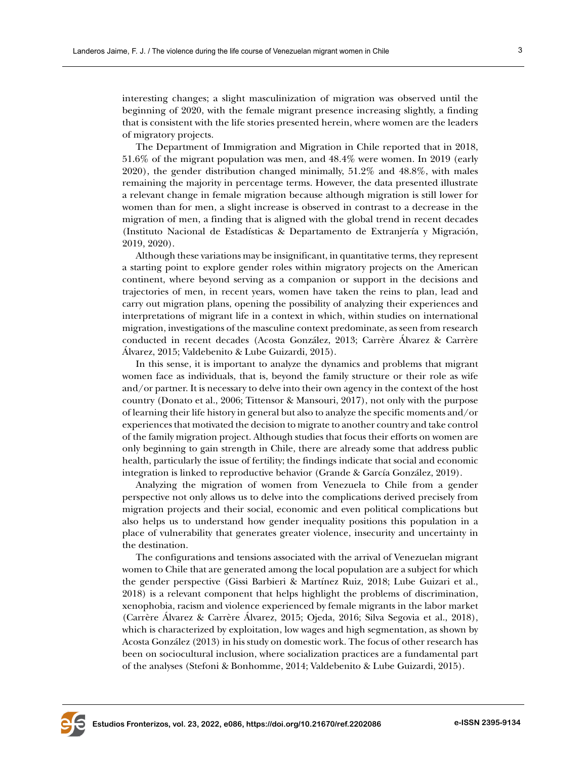interesting changes; a slight masculinization of migration was observed until the beginning of 2020, with the female migrant presence increasing slightly, a finding that is consistent with the life stories presented herein, where women are the leaders of migratory projects.

The Department of Immigration and Migration in Chile reported that in 2018, 51.6% of the migrant population was men, and 48.4% were women. In 2019 (early 2020), the gender distribution changed minimally, 51.2% and 48.8%, with males remaining the majority in percentage terms. However, the data presented illustrate a relevant change in female migration because although migration is still lower for women than for men, a slight increase is observed in contrast to a decrease in the migration of men, a finding that is aligned with the global trend in recent decades (Instituto Nacional de Estadísticas & Departamento de Extranjería y Migración, 2019, 2020).

Although these variations may be insignificant, in quantitative terms, they represent a starting point to explore gender roles within migratory projects on the American continent, where beyond serving as a companion or support in the decisions and trajectories of men, in recent years, women have taken the reins to plan, lead and carry out migration plans, opening the possibility of analyzing their experiences and interpretations of migrant life in a context in which, within studies on international migration, investigations of the masculine context predominate, as seen from research conducted in recent decades (Acosta González, 2013; Carrère Álvarez & Carrère Álvarez, 2015; Valdebenito & Lube Guizardi, 2015).

In this sense, it is important to analyze the dynamics and problems that migrant women face as individuals, that is, beyond the family structure or their role as wife and/or partner. It is necessary to delve into their own agency in the context of the host country (Donato et al., 2006; Tittensor & Mansouri, 2017), not only with the purpose of learning their life history in general but also to analyze the specific moments and/or experiences that motivated the decision to migrate to another country and take control of the family migration project. Although studies that focus their efforts on women are only beginning to gain strength in Chile, there are already some that address public health, particularly the issue of fertility; the findings indicate that social and economic integration is linked to reproductive behavior (Grande & García González, 2019).

Analyzing the migration of women from Venezuela to Chile from a gender perspective not only allows us to delve into the complications derived precisely from migration projects and their social, economic and even political complications but also helps us to understand how gender inequality positions this population in a place of vulnerability that generates greater violence, insecurity and uncertainty in the destination.

The configurations and tensions associated with the arrival of Venezuelan migrant women to Chile that are generated among the local population are a subject for which the gender perspective (Gissi Barbieri & Martínez Ruiz, 2018; Lube Guizari et al., 2018) is a relevant component that helps highlight the problems of discrimination, xenophobia, racism and violence experienced by female migrants in the labor market (Carrère Álvarez & Carrère Álvarez, 2015; Ojeda, 2016; Silva Segovia et al., 2018), which is characterized by exploitation, low wages and high segmentation, as shown by Acosta González (2013) in his study on domestic work. The focus of other research has been on sociocultural inclusion, where socialization practices are a fundamental part of the analyses (Stefoni & Bonhomme, 2014; Valdebenito & Lube Guizardi, 2015).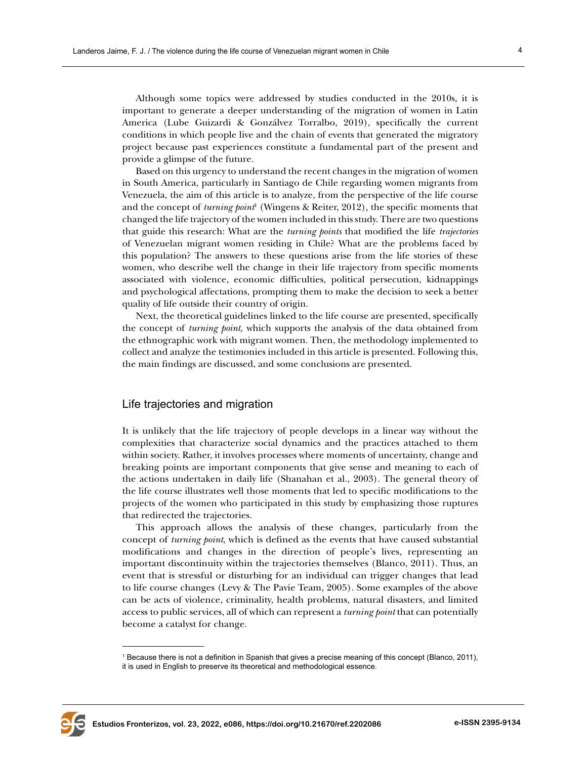Although some topics were addressed by studies conducted in the 2010s, it is important to generate a deeper understanding of the migration of women in Latin America (Lube Guizardi & Gonzálvez Torralbo, 2019), specifically the current conditions in which people live and the chain of events that generated the migratory project because past experiences constitute a fundamental part of the present and provide a glimpse of the future.

Based on this urgency to understand the recent changes in the migration of women in South America, particularly in Santiago de Chile regarding women migrants from Venezuela, the aim of this article is to analyze, from the perspective of the life course and the concept of *turning point*<sup>1</sup> (Wingens & Reiter, 2012), the specific moments that changed the life trajectory of the women included in this study. There are two questions that guide this research: What are the *turning points* that modified the life *trajectories* of Venezuelan migrant women residing in Chile? What are the problems faced by this population? The answers to these questions arise from the life stories of these women, who describe well the change in their life trajectory from specific moments associated with violence, economic difficulties, political persecution, kidnappings and psychological affectations, prompting them to make the decision to seek a better quality of life outside their country of origin.

Next, the theoretical guidelines linked to the life course are presented, specifically the concept of *turning point,* which supports the analysis of the data obtained from the ethnographic work with migrant women. Then, the methodology implemented to collect and analyze the testimonies included in this article is presented. Following this, the main findings are discussed, and some conclusions are presented.

#### Life trajectories and migration

It is unlikely that the life trajectory of people develops in a linear way without the complexities that characterize social dynamics and the practices attached to them within society. Rather, it involves processes where moments of uncertainty, change and breaking points are important components that give sense and meaning to each of the actions undertaken in daily life (Shanahan et al., 2003). The general theory of the life course illustrates well those moments that led to specific modifications to the projects of the women who participated in this study by emphasizing those ruptures that redirected the trajectories.

This approach allows the analysis of these changes, particularly from the concept of *turning point*, which is defined as the events that have caused substantial modifications and changes in the direction of people's lives, representing an important discontinuity within the trajectories themselves (Blanco, 2011). Thus, an event that is stressful or disturbing for an individual can trigger changes that lead to life course changes (Levy & The Pavie Team, 2005). Some examples of the above can be acts of violence, criminality, health problems, natural disasters, and limited access to public services, all of which can represent a *turning point* that can potentially become a catalyst for change.



<sup>1</sup> Because there is not a definition in Spanish that gives a precise meaning of this concept (Blanco, 2011), it is used in English to preserve its theoretical and methodological essence.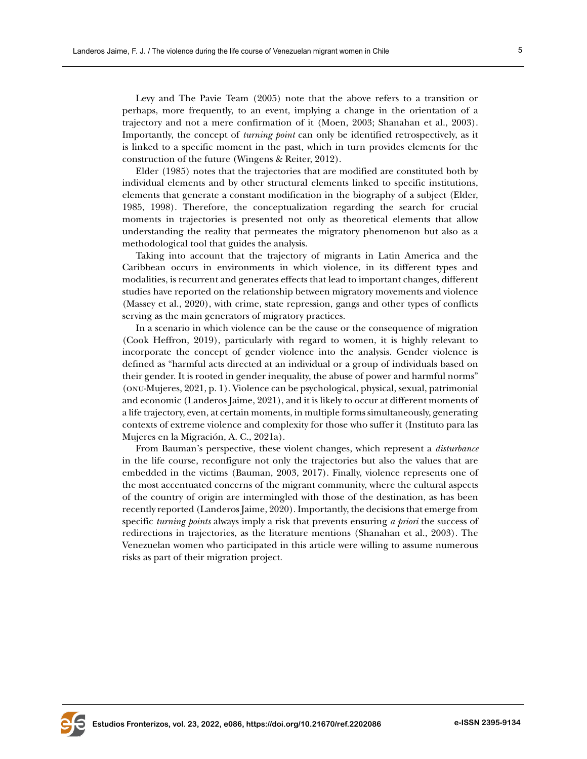Levy and The Pavie Team (2005) note that the above refers to a transition or perhaps, more frequently, to an event, implying a change in the orientation of a trajectory and not a mere confirmation of it (Moen, 2003; Shanahan et al., 2003). Importantly, the concept of *turning point* can only be identified retrospectively, as it is linked to a specific moment in the past, which in turn provides elements for the construction of the future (Wingens & Reiter, 2012).

Elder (1985) notes that the trajectories that are modified are constituted both by individual elements and by other structural elements linked to specific institutions, elements that generate a constant modification in the biography of a subject (Elder, 1985, 1998). Therefore, the conceptualization regarding the search for crucial moments in trajectories is presented not only as theoretical elements that allow understanding the reality that permeates the migratory phenomenon but also as a methodological tool that guides the analysis.

Taking into account that the trajectory of migrants in Latin America and the Caribbean occurs in environments in which violence, in its different types and modalities, is recurrent and generates effects that lead to important changes, different studies have reported on the relationship between migratory movements and violence (Massey et al., 2020), with crime, state repression, gangs and other types of conflicts serving as the main generators of migratory practices.

In a scenario in which violence can be the cause or the consequence of migration (Cook Heffron, 2019), particularly with regard to women, it is highly relevant to incorporate the concept of gender violence into the analysis. Gender violence is defined as "harmful acts directed at an individual or a group of individuals based on their gender. It is rooted in gender inequality, the abuse of power and harmful norms" (onu-Mujeres, 2021, p. 1). Violence can be psychological, physical, sexual, patrimonial and economic (Landeros Jaime, 2021), and it is likely to occur at different moments of a life trajectory, even, at certain moments, in multiple forms simultaneously, generating contexts of extreme violence and complexity for those who suffer it (Instituto para las Mujeres en la Migración, A. C., 2021a).

From Bauman's perspective, these violent changes, which represent a *disturbance* in the life course, reconfigure not only the trajectories but also the values that are embedded in the victims (Bauman, 2003, 2017). Finally, violence represents one of the most accentuated concerns of the migrant community, where the cultural aspects of the country of origin are intermingled with those of the destination, as has been recently reported (Landeros Jaime, 2020). Importantly, the decisions that emerge from specific *turning points* always imply a risk that prevents ensuring *a priori* the success of redirections in trajectories, as the literature mentions (Shanahan et al., 2003). The Venezuelan women who participated in this article were willing to assume numerous risks as part of their migration project.

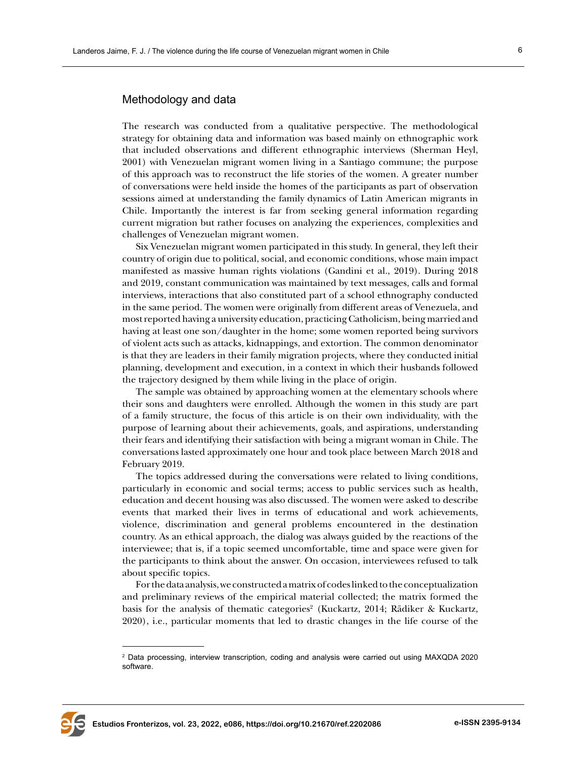### Methodology and data

The research was conducted from a qualitative perspective. The methodological strategy for obtaining data and information was based mainly on ethnographic work that included observations and different ethnographic interviews (Sherman Heyl, 2001) with Venezuelan migrant women living in a Santiago commune; the purpose of this approach was to reconstruct the life stories of the women. A greater number of conversations were held inside the homes of the participants as part of observation sessions aimed at understanding the family dynamics of Latin American migrants in Chile. Importantly the interest is far from seeking general information regarding current migration but rather focuses on analyzing the experiences, complexities and challenges of Venezuelan migrant women.

Six Venezuelan migrant women participated in this study. In general, they left their country of origin due to political, social, and economic conditions, whose main impact manifested as massive human rights violations (Gandini et al., 2019). During 2018 and 2019, constant communication was maintained by text messages, calls and formal interviews, interactions that also constituted part of a school ethnography conducted in the same period. The women were originally from different areas of Venezuela, and most reported having a university education, practicing Catholicism, being married and having at least one son/daughter in the home; some women reported being survivors of violent acts such as attacks, kidnappings, and extortion. The common denominator is that they are leaders in their family migration projects, where they conducted initial planning, development and execution, in a context in which their husbands followed the trajectory designed by them while living in the place of origin.

The sample was obtained by approaching women at the elementary schools where their sons and daughters were enrolled. Although the women in this study are part of a family structure, the focus of this article is on their own individuality, with the purpose of learning about their achievements, goals, and aspirations, understanding their fears and identifying their satisfaction with being a migrant woman in Chile. The conversations lasted approximately one hour and took place between March 2018 and February 2019.

The topics addressed during the conversations were related to living conditions, particularly in economic and social terms; access to public services such as health, education and decent housing was also discussed. The women were asked to describe events that marked their lives in terms of educational and work achievements, violence, discrimination and general problems encountered in the destination country. As an ethical approach, the dialog was always guided by the reactions of the interviewee; that is, if a topic seemed uncomfortable, time and space were given for the participants to think about the answer. On occasion, interviewees refused to talk about specific topics.

For the data analysis, we constructed a matrix of codes linked to the conceptualization and preliminary reviews of the empirical material collected; the matrix formed the basis for the analysis of thematic categories<sup>2</sup> (Kuckartz, 2014; Rädiker & Kuckartz, 2020), i.e., particular moments that led to drastic changes in the life course of the



<sup>2</sup> Data processing, interview transcription, coding and analysis were carried out using MAXQDA 2020 software.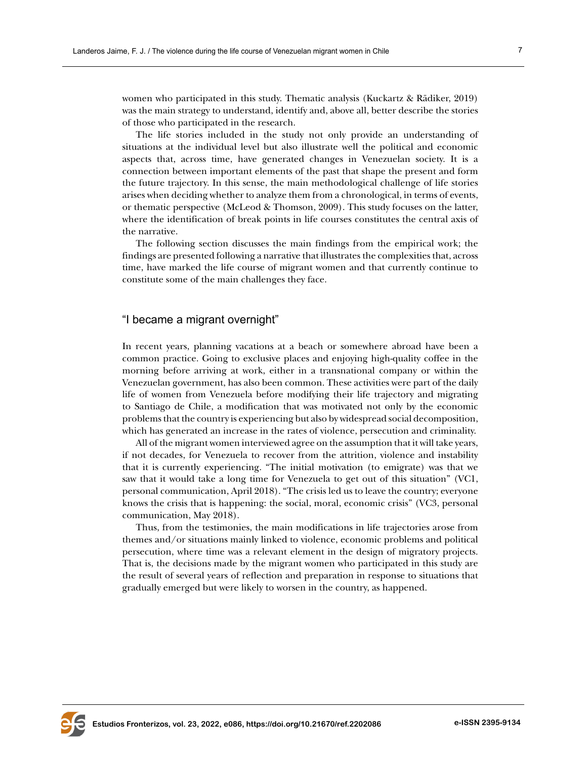women who participated in this study. Thematic analysis (Kuckartz & Rädiker, 2019) was the main strategy to understand, identify and, above all, better describe the stories of those who participated in the research.

The life stories included in the study not only provide an understanding of situations at the individual level but also illustrate well the political and economic aspects that, across time, have generated changes in Venezuelan society. It is a connection between important elements of the past that shape the present and form the future trajectory. In this sense, the main methodological challenge of life stories arises when deciding whether to analyze them from a chronological, in terms of events, or thematic perspective (McLeod & Thomson, 2009). This study focuses on the latter, where the identification of break points in life courses constitutes the central axis of the narrative.

The following section discusses the main findings from the empirical work; the findings are presented following a narrative that illustrates the complexities that, across time, have marked the life course of migrant women and that currently continue to constitute some of the main challenges they face.

### "I became a migrant overnight"

In recent years, planning vacations at a beach or somewhere abroad have been a common practice. Going to exclusive places and enjoying high-quality coffee in the morning before arriving at work, either in a transnational company or within the Venezuelan government, has also been common. These activities were part of the daily life of women from Venezuela before modifying their life trajectory and migrating to Santiago de Chile, a modification that was motivated not only by the economic problems that the country is experiencing but also by widespread social decomposition, which has generated an increase in the rates of violence, persecution and criminality.

All of the migrant women interviewed agree on the assumption that it will take years, if not decades, for Venezuela to recover from the attrition, violence and instability that it is currently experiencing. "The initial motivation (to emigrate) was that we saw that it would take a long time for Venezuela to get out of this situation" (VC1, personal communication, April 2018). "The crisis led us to leave the country; everyone knows the crisis that is happening: the social, moral, economic crisis" (VC3, personal communication, May 2018).

Thus, from the testimonies, the main modifications in life trajectories arose from themes and/or situations mainly linked to violence, economic problems and political persecution, where time was a relevant element in the design of migratory projects. That is, the decisions made by the migrant women who participated in this study are the result of several years of reflection and preparation in response to situations that gradually emerged but were likely to worsen in the country, as happened.

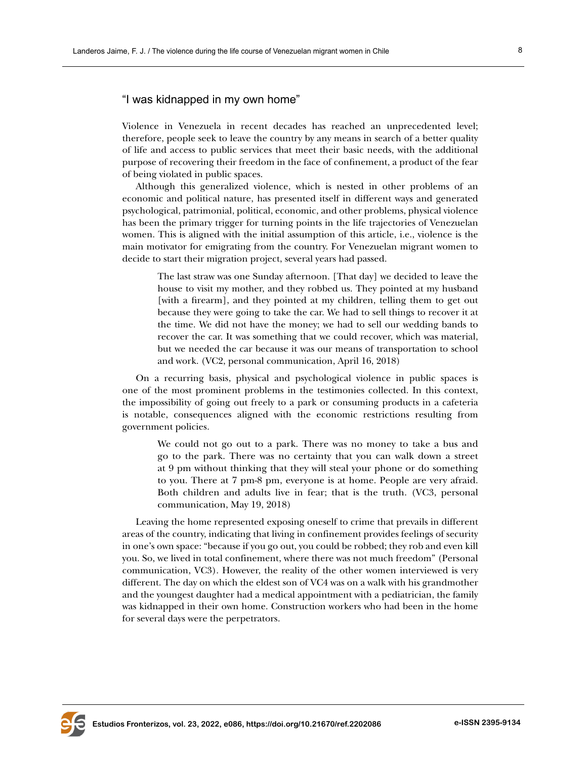# "I was kidnapped in my own home"

Violence in Venezuela in recent decades has reached an unprecedented level; therefore, people seek to leave the country by any means in search of a better quality of life and access to public services that meet their basic needs, with the additional purpose of recovering their freedom in the face of confinement, a product of the fear of being violated in public spaces.

Although this generalized violence, which is nested in other problems of an economic and political nature, has presented itself in different ways and generated psychological, patrimonial, political, economic, and other problems, physical violence has been the primary trigger for turning points in the life trajectories of Venezuelan women. This is aligned with the initial assumption of this article, i.e., violence is the main motivator for emigrating from the country. For Venezuelan migrant women to decide to start their migration project, several years had passed.

The last straw was one Sunday afternoon. [That day] we decided to leave the house to visit my mother, and they robbed us. They pointed at my husband [with a firearm], and they pointed at my children, telling them to get out because they were going to take the car. We had to sell things to recover it at the time. We did not have the money; we had to sell our wedding bands to recover the car. It was something that we could recover, which was material, but we needed the car because it was our means of transportation to school and work. (VC2, personal communication, April 16, 2018)

On a recurring basis, physical and psychological violence in public spaces is one of the most prominent problems in the testimonies collected. In this context, the impossibility of going out freely to a park or consuming products in a cafeteria is notable, consequences aligned with the economic restrictions resulting from government policies.

We could not go out to a park. There was no money to take a bus and go to the park. There was no certainty that you can walk down a street at 9 pm without thinking that they will steal your phone or do something to you. There at 7 pm-8 pm, everyone is at home. People are very afraid. Both children and adults live in fear; that is the truth. (VC3, personal communication, May 19, 2018)

Leaving the home represented exposing oneself to crime that prevails in different areas of the country, indicating that living in confinement provides feelings of security in one's own space: "because if you go out, you could be robbed; they rob and even kill you. So, we lived in total confinement, where there was not much freedom" (Personal communication, VC3). However, the reality of the other women interviewed is very different. The day on which the eldest son of VC4 was on a walk with his grandmother and the youngest daughter had a medical appointment with a pediatrician, the family was kidnapped in their own home. Construction workers who had been in the home for several days were the perpetrators.

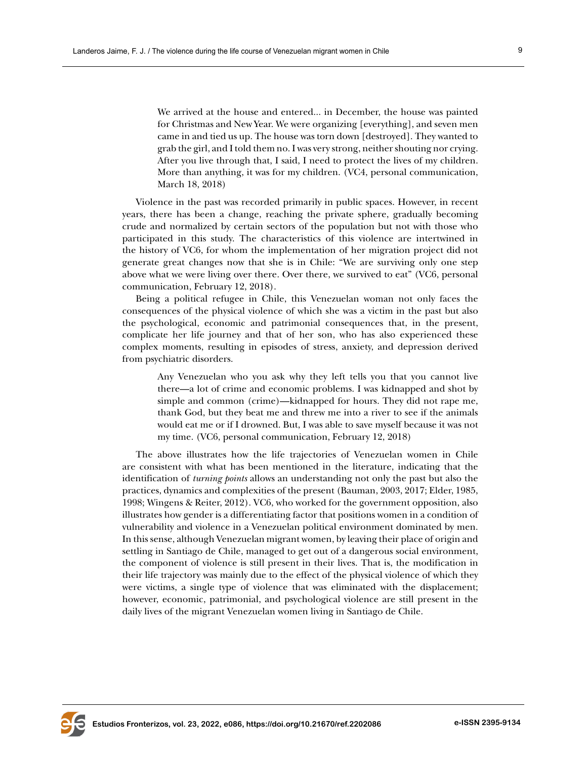We arrived at the house and entered... in December, the house was painted for Christmas and New Year. We were organizing [everything], and seven men came in and tied us up. The house was torn down [destroyed]. They wanted to grab the girl, and I told them no. I was very strong, neither shouting nor crying. After you live through that, I said, I need to protect the lives of my children. More than anything, it was for my children. (VC4, personal communication, March 18, 2018)

Violence in the past was recorded primarily in public spaces. However, in recent years, there has been a change, reaching the private sphere, gradually becoming crude and normalized by certain sectors of the population but not with those who participated in this study. The characteristics of this violence are intertwined in the history of VC6, for whom the implementation of her migration project did not generate great changes now that she is in Chile: "We are surviving only one step above what we were living over there. Over there, we survived to eat" (VC6, personal communication, February 12, 2018).

Being a political refugee in Chile, this Venezuelan woman not only faces the consequences of the physical violence of which she was a victim in the past but also the psychological, economic and patrimonial consequences that, in the present, complicate her life journey and that of her son, who has also experienced these complex moments, resulting in episodes of stress, anxiety, and depression derived from psychiatric disorders.

Any Venezuelan who you ask why they left tells you that you cannot live there—a lot of crime and economic problems. I was kidnapped and shot by simple and common (crime)—kidnapped for hours. They did not rape me, thank God, but they beat me and threw me into a river to see if the animals would eat me or if I drowned. But, I was able to save myself because it was not my time. (VC6, personal communication, February 12, 2018)

The above illustrates how the life trajectories of Venezuelan women in Chile are consistent with what has been mentioned in the literature, indicating that the identification of *turning points* allows an understanding not only the past but also the practices, dynamics and complexities of the present (Bauman, 2003, 2017; Elder, 1985, 1998; Wingens & Reiter, 2012). VC6, who worked for the government opposition, also illustrates how gender is a differentiating factor that positions women in a condition of vulnerability and violence in a Venezuelan political environment dominated by men. In this sense, although Venezuelan migrant women, by leaving their place of origin and settling in Santiago de Chile, managed to get out of a dangerous social environment, the component of violence is still present in their lives. That is, the modification in their life trajectory was mainly due to the effect of the physical violence of which they were victims, a single type of violence that was eliminated with the displacement; however, economic, patrimonial, and psychological violence are still present in the daily lives of the migrant Venezuelan women living in Santiago de Chile.

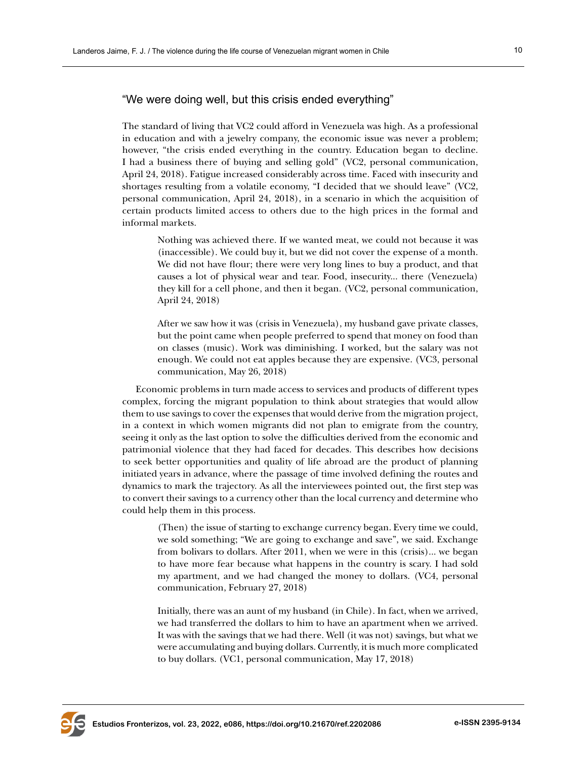# "We were doing well, but this crisis ended everything"

The standard of living that VC2 could afford in Venezuela was high. As a professional in education and with a jewelry company, the economic issue was never a problem; however, "the crisis ended everything in the country. Education began to decline. I had a business there of buying and selling gold" (VC2, personal communication, April 24, 2018). Fatigue increased considerably across time. Faced with insecurity and shortages resulting from a volatile economy, "I decided that we should leave" (VC2, personal communication, April 24, 2018), in a scenario in which the acquisition of certain products limited access to others due to the high prices in the formal and informal markets.

Nothing was achieved there. If we wanted meat, we could not because it was (inaccessible). We could buy it, but we did not cover the expense of a month. We did not have flour; there were very long lines to buy a product, and that causes a lot of physical wear and tear. Food, insecurity... there (Venezuela) they kill for a cell phone, and then it began. (VC2, personal communication, April 24, 2018)

After we saw how it was (crisis in Venezuela), my husband gave private classes, but the point came when people preferred to spend that money on food than on classes (music). Work was diminishing. I worked, but the salary was not enough. We could not eat apples because they are expensive. (VC3, personal communication, May 26, 2018)

Economic problems in turn made access to services and products of different types complex, forcing the migrant population to think about strategies that would allow them to use savings to cover the expenses that would derive from the migration project, in a context in which women migrants did not plan to emigrate from the country, seeing it only as the last option to solve the difficulties derived from the economic and patrimonial violence that they had faced for decades. This describes how decisions to seek better opportunities and quality of life abroad are the product of planning initiated years in advance, where the passage of time involved defining the routes and dynamics to mark the trajectory. As all the interviewees pointed out, the first step was to convert their savings to a currency other than the local currency and determine who could help them in this process.

(Then) the issue of starting to exchange currency began. Every time we could, we sold something; "We are going to exchange and save", we said. Exchange from bolivars to dollars. After 2011, when we were in this (crisis)... we began to have more fear because what happens in the country is scary. I had sold my apartment, and we had changed the money to dollars. (VC4, personal communication, February 27, 2018)

Initially, there was an aunt of my husband (in Chile). In fact, when we arrived, we had transferred the dollars to him to have an apartment when we arrived. It was with the savings that we had there. Well (it was not) savings, but what we were accumulating and buying dollars. Currently, it is much more complicated to buy dollars. (VC1, personal communication, May 17, 2018)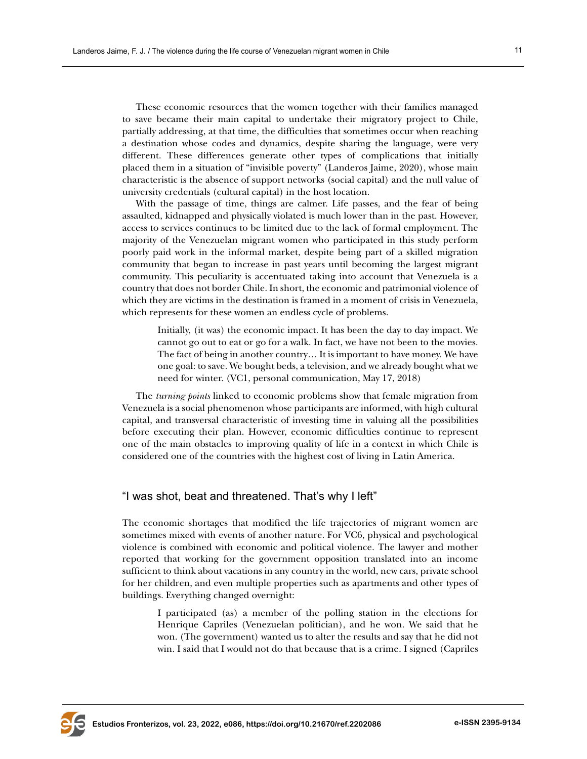These economic resources that the women together with their families managed to save became their main capital to undertake their migratory project to Chile, partially addressing, at that time, the difficulties that sometimes occur when reaching a destination whose codes and dynamics, despite sharing the language, were very different. These differences generate other types of complications that initially placed them in a situation of "invisible poverty" (Landeros Jaime, 2020), whose main characteristic is the absence of support networks (social capital) and the null value of university credentials (cultural capital) in the host location.

With the passage of time, things are calmer. Life passes, and the fear of being assaulted, kidnapped and physically violated is much lower than in the past. However, access to services continues to be limited due to the lack of formal employment. The majority of the Venezuelan migrant women who participated in this study perform poorly paid work in the informal market, despite being part of a skilled migration community that began to increase in past years until becoming the largest migrant community. This peculiarity is accentuated taking into account that Venezuela is a country that does not border Chile. In short, the economic and patrimonial violence of which they are victims in the destination is framed in a moment of crisis in Venezuela, which represents for these women an endless cycle of problems.

Initially, (it was) the economic impact. It has been the day to day impact. We cannot go out to eat or go for a walk. In fact, we have not been to the movies. The fact of being in another country… It is important to have money. We have one goal: to save. We bought beds, a television, and we already bought what we need for winter. (VC1, personal communication, May 17, 2018)

The *turning points* linked to economic problems show that female migration from Venezuela is a social phenomenon whose participants are informed, with high cultural capital, and transversal characteristic of investing time in valuing all the possibilities before executing their plan. However, economic difficulties continue to represent one of the main obstacles to improving quality of life in a context in which Chile is considered one of the countries with the highest cost of living in Latin America.

## "I was shot, beat and threatened. That's why I left"

The economic shortages that modified the life trajectories of migrant women are sometimes mixed with events of another nature. For VC6, physical and psychological violence is combined with economic and political violence. The lawyer and mother reported that working for the government opposition translated into an income sufficient to think about vacations in any country in the world, new cars, private school for her children, and even multiple properties such as apartments and other types of buildings. Everything changed overnight:

I participated (as) a member of the polling station in the elections for Henrique Capriles (Venezuelan politician), and he won. We said that he won. (The government) wanted us to alter the results and say that he did not win. I said that I would not do that because that is a crime. I signed (Capriles

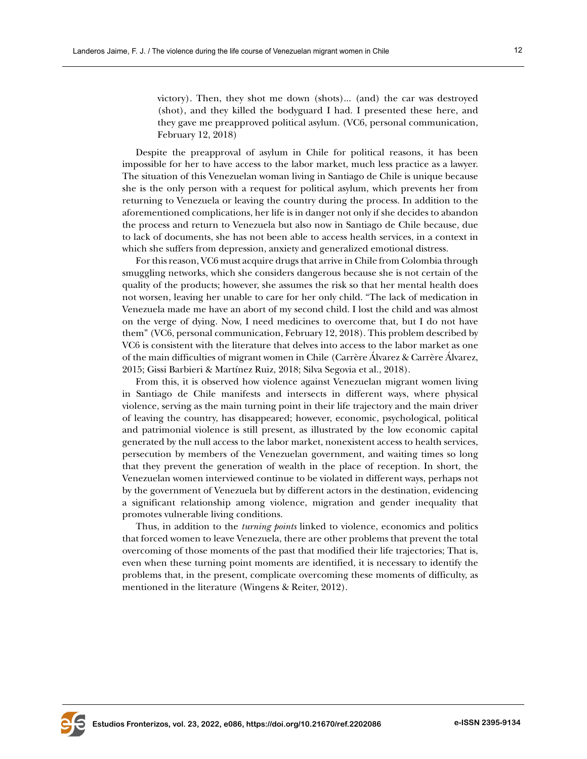victory). Then, they shot me down (shots)... (and) the car was destroyed (shot), and they killed the bodyguard I had. I presented these here, and they gave me preapproved political asylum. (VC6, personal communication, February 12, 2018)

Despite the preapproval of asylum in Chile for political reasons, it has been impossible for her to have access to the labor market, much less practice as a lawyer. The situation of this Venezuelan woman living in Santiago de Chile is unique because she is the only person with a request for political asylum, which prevents her from returning to Venezuela or leaving the country during the process. In addition to the aforementioned complications, her life is in danger not only if she decides to abandon the process and return to Venezuela but also now in Santiago de Chile because, due to lack of documents, she has not been able to access health services, in a context in which she suffers from depression, anxiety and generalized emotional distress.

For this reason, VC6 must acquire drugs that arrive in Chile from Colombia through smuggling networks, which she considers dangerous because she is not certain of the quality of the products; however, she assumes the risk so that her mental health does not worsen, leaving her unable to care for her only child. "The lack of medication in Venezuela made me have an abort of my second child. I lost the child and was almost on the verge of dying. Now, I need medicines to overcome that, but I do not have them" (VC6, personal communication, February 12, 2018). This problem described by VC6 is consistent with the literature that delves into access to the labor market as one of the main difficulties of migrant women in Chile (Carrère Álvarez & Carrère Álvarez, 2015; Gissi Barbieri & Martínez Ruiz, 2018; Silva Segovia et al., 2018).

From this, it is observed how violence against Venezuelan migrant women living in Santiago de Chile manifests and intersects in different ways, where physical violence, serving as the main turning point in their life trajectory and the main driver of leaving the country, has disappeared; however, economic, psychological, political and patrimonial violence is still present, as illustrated by the low economic capital generated by the null access to the labor market, nonexistent access to health services, persecution by members of the Venezuelan government, and waiting times so long that they prevent the generation of wealth in the place of reception. In short, the Venezuelan women interviewed continue to be violated in different ways, perhaps not by the government of Venezuela but by different actors in the destination, evidencing a significant relationship among violence, migration and gender inequality that promotes vulnerable living conditions.

Thus, in addition to the *turning points* linked to violence, economics and politics that forced women to leave Venezuela, there are other problems that prevent the total overcoming of those moments of the past that modified their life trajectories; That is, even when these turning point moments are identified, it is necessary to identify the problems that, in the present, complicate overcoming these moments of difficulty, as mentioned in the literature (Wingens & Reiter, 2012).

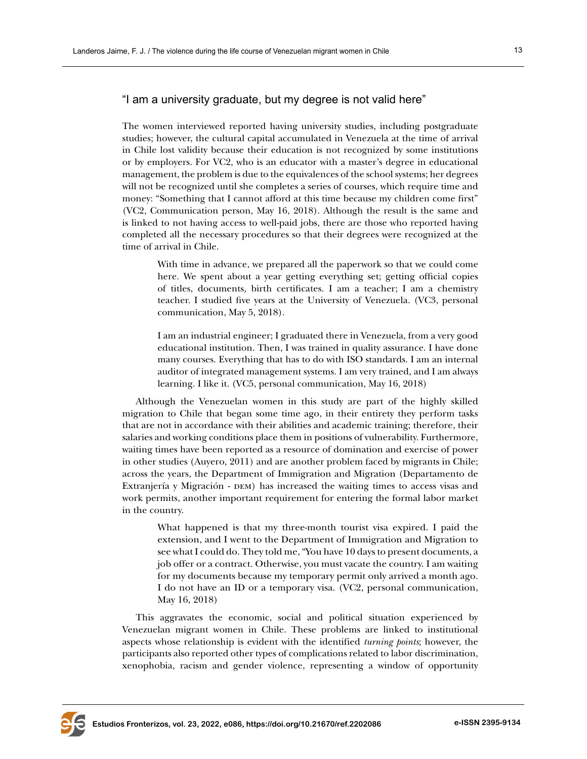# "I am a university graduate, but my degree is not valid here"

The women interviewed reported having university studies, including postgraduate studies; however, the cultural capital accumulated in Venezuela at the time of arrival in Chile lost validity because their education is not recognized by some institutions or by employers. For VC2, who is an educator with a master's degree in educational management, the problem is due to the equivalences of the school systems; her degrees will not be recognized until she completes a series of courses, which require time and money: "Something that I cannot afford at this time because my children come first" (VC2, Communication person, May 16, 2018). Although the result is the same and is linked to not having access to well-paid jobs, there are those who reported having completed all the necessary procedures so that their degrees were recognized at the time of arrival in Chile.

With time in advance, we prepared all the paperwork so that we could come here. We spent about a year getting everything set; getting official copies of titles, documents, birth certificates. I am a teacher; I am a chemistry teacher. I studied five years at the University of Venezuela. (VC3, personal communication, May 5, 2018).

I am an industrial engineer; I graduated there in Venezuela, from a very good educational institution. Then, I was trained in quality assurance. I have done many courses. Everything that has to do with ISO standards. I am an internal auditor of integrated management systems. I am very trained, and I am always learning. I like it. (VC5, personal communication, May 16, 2018)

Although the Venezuelan women in this study are part of the highly skilled migration to Chile that began some time ago, in their entirety they perform tasks that are not in accordance with their abilities and academic training; therefore, their salaries and working conditions place them in positions of vulnerability. Furthermore, waiting times have been reported as a resource of domination and exercise of power in other studies (Auyero, 2011) and are another problem faced by migrants in Chile; across the years, the Department of Immigration and Migration (Departamento de Extranjería y Migración - DEM) has increased the waiting times to access visas and work permits, another important requirement for entering the formal labor market in the country.

What happened is that my three-month tourist visa expired. I paid the extension, and I went to the Department of Immigration and Migration to see what I could do. They told me, "You have 10 days to present documents, a job offer or a contract. Otherwise, you must vacate the country. I am waiting for my documents because my temporary permit only arrived a month ago. I do not have an ID or a temporary visa. (VC2, personal communication, May 16, 2018)

This aggravates the economic, social and political situation experienced by Venezuelan migrant women in Chile. These problems are linked to institutional aspects whose relationship is evident with the identified *turning points*; however, the participants also reported other types of complications related to labor discrimination, xenophobia, racism and gender violence, representing a window of opportunity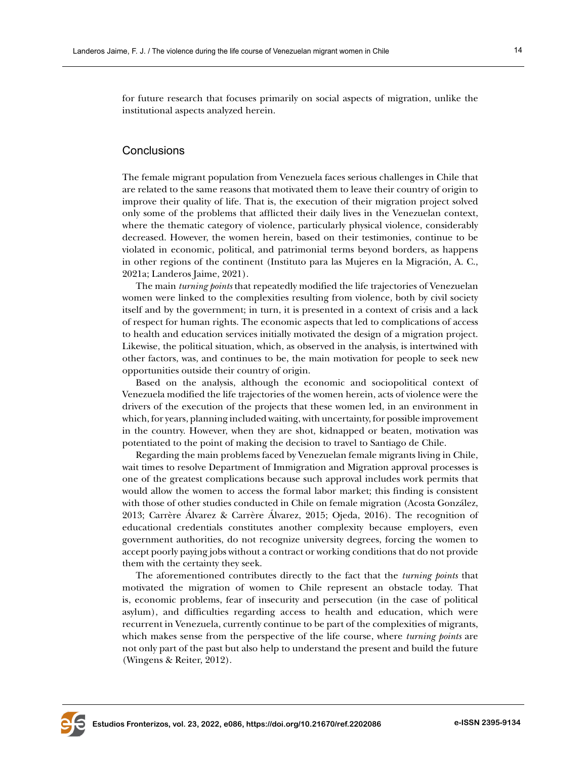for future research that focuses primarily on social aspects of migration, unlike the institutional aspects analyzed herein.

### **Conclusions**

The female migrant population from Venezuela faces serious challenges in Chile that are related to the same reasons that motivated them to leave their country of origin to improve their quality of life. That is, the execution of their migration project solved only some of the problems that afflicted their daily lives in the Venezuelan context, where the thematic category of violence, particularly physical violence, considerably decreased. However, the women herein, based on their testimonies, continue to be violated in economic, political, and patrimonial terms beyond borders, as happens in other regions of the continent (Instituto para las Mujeres en la Migración, A. C., 2021a; Landeros Jaime, 2021).

The main *turning points* that repeatedly modified the life trajectories of Venezuelan women were linked to the complexities resulting from violence, both by civil society itself and by the government; in turn, it is presented in a context of crisis and a lack of respect for human rights. The economic aspects that led to complications of access to health and education services initially motivated the design of a migration project. Likewise, the political situation, which, as observed in the analysis, is intertwined with other factors, was, and continues to be, the main motivation for people to seek new opportunities outside their country of origin.

Based on the analysis, although the economic and sociopolitical context of Venezuela modified the life trajectories of the women herein, acts of violence were the drivers of the execution of the projects that these women led, in an environment in which, for years, planning included waiting, with uncertainty, for possible improvement in the country. However, when they are shot, kidnapped or beaten, motivation was potentiated to the point of making the decision to travel to Santiago de Chile.

Regarding the main problems faced by Venezuelan female migrants living in Chile, wait times to resolve Department of Immigration and Migration approval processes is one of the greatest complications because such approval includes work permits that would allow the women to access the formal labor market; this finding is consistent with those of other studies conducted in Chile on female migration (Acosta González, 2013; Carrère Álvarez & Carrère Álvarez, 2015; Ojeda, 2016). The recognition of educational credentials constitutes another complexity because employers, even government authorities, do not recognize university degrees, forcing the women to accept poorly paying jobs without a contract or working conditions that do not provide them with the certainty they seek.

The aforementioned contributes directly to the fact that the *turning points* that motivated the migration of women to Chile represent an obstacle today. That is, economic problems, fear of insecurity and persecution (in the case of political asylum), and difficulties regarding access to health and education, which were recurrent in Venezuela, currently continue to be part of the complexities of migrants, which makes sense from the perspective of the life course, where *turning points* are not only part of the past but also help to understand the present and build the future (Wingens & Reiter, 2012).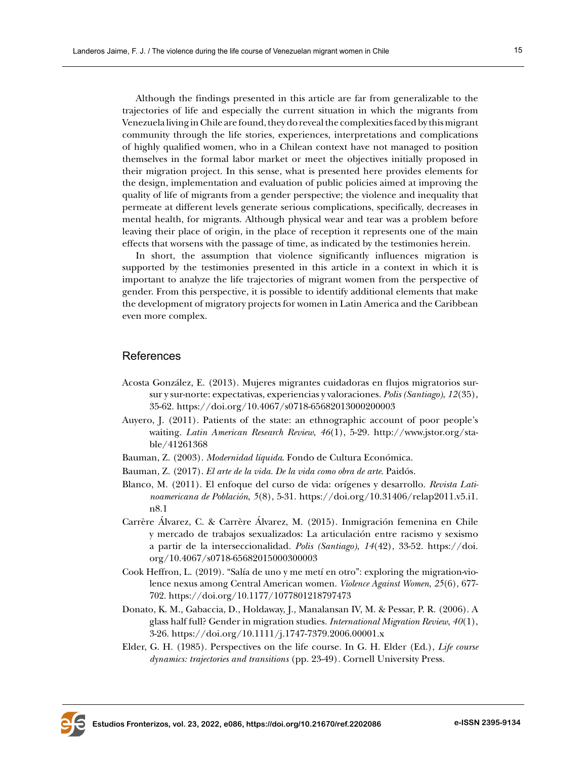Although the findings presented in this article are far from generalizable to the trajectories of life and especially the current situation in which the migrants from Venezuela living in Chile are found, they do reveal the complexities faced by this migrant community through the life stories, experiences, interpretations and complications of highly qualified women, who in a Chilean context have not managed to position themselves in the formal labor market or meet the objectives initially proposed in

their migration project. In this sense, what is presented here provides elements for the design, implementation and evaluation of public policies aimed at improving the quality of life of migrants from a gender perspective; the violence and inequality that permeate at different levels generate serious complications, specifically, decreases in mental health, for migrants. Although physical wear and tear was a problem before leaving their place of origin, in the place of reception it represents one of the main effects that worsens with the passage of time, as indicated by the testimonies herein.

In short, the assumption that violence significantly influences migration is supported by the testimonies presented in this article in a context in which it is important to analyze the life trajectories of migrant women from the perspective of gender. From this perspective, it is possible to identify additional elements that make the development of migratory projects for women in Latin America and the Caribbean even more complex.

## References

- Acosta González, E. (2013). Mujeres migrantes cuidadoras en flujos migratorios sursur y sur-norte: expectativas, experiencias y valoraciones. *Polis (Santiago)*, *12*(35), 35-62.<https://doi.org/10.4067/s0718-65682013000200003>
- Auyero, J. (2011). Patients of the state: an ethnographic account of poor people's waiting. *Latin American Research Review*, *46*(1), 5-29. [http://www.jstor.org/sta](http://www.jstor.org/stable/41261368)[ble/41261368](http://www.jstor.org/stable/41261368)
- Bauman, Z. (2003). *Modernidad líquida*. Fondo de Cultura Económica.
- Bauman, Z. (2017). *El arte de la vida. De la vida como obra de arte*. Paidós.
- Blanco, M. (2011). El enfoque del curso de vida: orígenes y desarrollo. *Revista Latinoamericana de Población*, *5*(8), 5-31. [https://doi.org/10.31406/relap2011.v5.i1.](https://doi.org/10.31406/relap2011.v5.i1.n8.1) [n8.1](https://doi.org/10.31406/relap2011.v5.i1.n8.1)
- Carrère Álvarez, C. & Carrère Álvarez, M. (2015). Inmigración femenina en Chile y mercado de trabajos sexualizados: La articulación entre racismo y sexismo a partir de la interseccionalidad. *Polis (Santiago)*, *14*(42), 33-52. [https://doi.](https://doi.org/10.4067/s0718-65682015000300003) [org/10.4067/s0718-65682015000300003](https://doi.org/10.4067/s0718-65682015000300003)
- Cook Heffron, L. (2019). "Salía de uno y me metí en otro": exploring the migration-violence nexus among Central American women. *Violence Against Women*, *25*(6), 677- 702.<https://doi.org/10.1177/1077801218797473>
- Donato, K. M., Gabaccia, D., Holdaway, J., Manalansan IV, M. & Pessar, P. R. (2006). A glass half full? Gender in migration studies. *International Migration Review*, *40*(1), 3-26. [https://doi.org/10.1111/j.1747-7379.2006.00001.x](https://doi.org/10.1111/j.1747-7379.2006.00001.x )
- Elder, G. H. (1985). Perspectives on the life course. In G. H. Elder (Ed.), *Life course dynamics: trajectories and transitions* (pp. 23-49)*.* Cornell University Press.

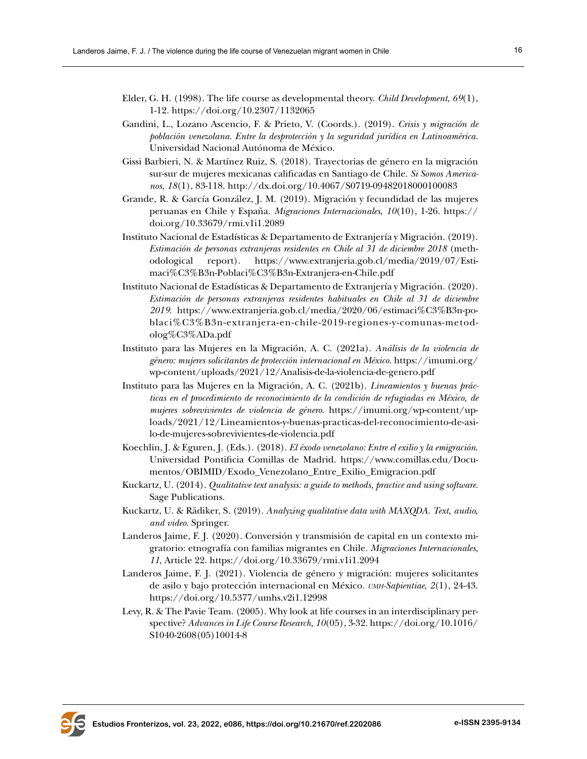- Elder, G. H. (1998). The life course as developmental theory. *Child Development*, *69*(1), 1-12.<https://doi.org/10.2307/1132065>
- Gandini, L., Lozano Ascencio, F. & Prieto, V. (Coords.). (2019). *Crisis y migración de población venezolana. Entre la desprotección y la seguridad jurídica en Latinoamérica.* Universidad Nacional Autónoma de México.
- Gissi Barbieri, N. & Martínez Ruiz, S. (2018). Trayectorias de género en la migración sur-sur de mujeres mexicanas calificadas en Santiago de Chile. *Si Somos Americanos*, *18*(1), 83-118. <http://dx.doi.org/10.4067/S0719-09482018000100083>
- Grande, R. & García González, J. M. (2019). Migración y fecundidad de las mujeres peruanas en Chile y España. *Migraciones Internacionales*, *10*(10), 1-26. [https://](https://doi.org/10.33679/rmi.v1i1.2089) [doi.org/10.33679/rmi.v1i1.2089](https://doi.org/10.33679/rmi.v1i1.2089)
- Instituto Nacional de Estadísticas & Departamento de Extranjería y Migración. (2019). *Estimación de personas extranjeras residentes en Chile al 31 de diciembre 2018* (methodological report). [https://www.extranjeria.gob.cl/media/2019/07/Esti](https://www.extranjeria.gob.cl/media/2019/07/Estimaci%C3%B3n-Poblaci%C3%B3n-Extranjera-en-Chile.pdf)[maci%C3%B3n-Poblaci%C3%B3n-Extranjera-en-Chile.pdf](https://www.extranjeria.gob.cl/media/2019/07/Estimaci%C3%B3n-Poblaci%C3%B3n-Extranjera-en-Chile.pdf)
- Instituto Nacional de Estadísticas & Departamento de Extranjería y Migración. (2020). *Estimación de personas extranjeras residentes habituales en Chile al 31 de diciembre 2019*. [https://www.extranjeria.gob.cl/media/2020/06/estimaci%C3%B3n-po](https://www.extranjeria.gob.cl/media/2020/06/estimaci%C3%B3n-poblaci%C3%B3n-extranjera-en-chile-2019-regiones-y-comunas-metodolog%C3%ADa.pdf)[blaci%C3%B3n-extranjera-en-chile-2019-regiones-y-comunas-metod](https://www.extranjeria.gob.cl/media/2020/06/estimaci%C3%B3n-poblaci%C3%B3n-extranjera-en-chile-2019-regiones-y-comunas-metodolog%C3%ADa.pdf)[olog%C3%ADa.pdf](https://www.extranjeria.gob.cl/media/2020/06/estimaci%C3%B3n-poblaci%C3%B3n-extranjera-en-chile-2019-regiones-y-comunas-metodolog%C3%ADa.pdf)
- Instituto para las Mujeres en la Migración, A. C. (2021a). *Análisis de la violencia de género: mujeres solicitantes de protección internacional en México.* [https://imumi.org/](https://imumi.org/wp-content/uploads/2021/12/Analisis-de-la-violencia-de-genero.pdf) [wp-content/uploads/2021/12/Analisis-de-la-violencia-de-genero.pdf](https://imumi.org/wp-content/uploads/2021/12/Analisis-de-la-violencia-de-genero.pdf)
- Instituto para las Mujeres en la Migración, A. C. (2021b). *Lineamientos y buenas prácticas en el procedimiento de reconocimiento de la condición de refugiadas en México, de mujeres sobrevivientes de violencia de género*. [https://imumi.org/wp-content/up](https://imumi.org/wp-content/uploads/2021/12/Lineamientos-y-buenas-practicas-del-reconocimiento-de-asilo-de-mujeres-sobrevivientes-de-violencia.pdf)[loads/2021/12/Lineamientos-y-buenas-practicas-del-reconocimiento-de-asi](https://imumi.org/wp-content/uploads/2021/12/Lineamientos-y-buenas-practicas-del-reconocimiento-de-asilo-de-mujeres-sobrevivientes-de-violencia.pdf)[lo-de-mujeres-sobrevivientes-de-violencia.pdf](https://imumi.org/wp-content/uploads/2021/12/Lineamientos-y-buenas-practicas-del-reconocimiento-de-asilo-de-mujeres-sobrevivientes-de-violencia.pdf)
- Koechlin, J. & Eguren, J. (Eds.). (2018). *El éxodo venezolano: Entre el exilio y la emigración*. Universidad Pontificia Comillas de Madrid. [https://www.comillas.edu/Docu](https://www.comillas.edu/Documentos/OBIMID/Exodo_Venezolano_Entre_Exilio_Emigracion.pdf)[mentos/OBIMID/Exodo\\_Venezolano\\_Entre\\_Exilio\\_Emigracion.pdf](https://www.comillas.edu/Documentos/OBIMID/Exodo_Venezolano_Entre_Exilio_Emigracion.pdf)
- Kuckartz, U. (2014). *Qualitative text analysis: a guide to methods, practice and using software*. Sage Publications.
- Kuckartz, U. & Rädiker, S. (2019). *Analyzing qualitative data with MAXQDA. Text, audio, and video*. Springer.
- Landeros Jaime, F. J. (2020). Conversión y transmisión de capital en un contexto migratorio: etnografía con familias migrantes en Chile. *Migraciones Internacionales*, *11*, Article 22. <https://doi.org/10.33679/rmi.v1i1.2094>
- Landeros Jaime, F. J. (2021). Violencia de género y migración: mujeres solicitantes de asilo y bajo protección internacional en México. *umh-Sapientiae*, *2*(1), 24-43. <https://doi.org/10.5377/umhs.v2i1.12998>
- Levy, R. & The Pavie Team. (2005). Why look at life courses in an interdisciplinary perspective? *Advances in Life Course Research*, *10*(05), 3-32. [https://doi.org/10.1016/](https://doi.org/10.1016/S1040-2608(05)10014-8) [S1040-2608\(05\)10014-8](https://doi.org/10.1016/S1040-2608(05)10014-8)

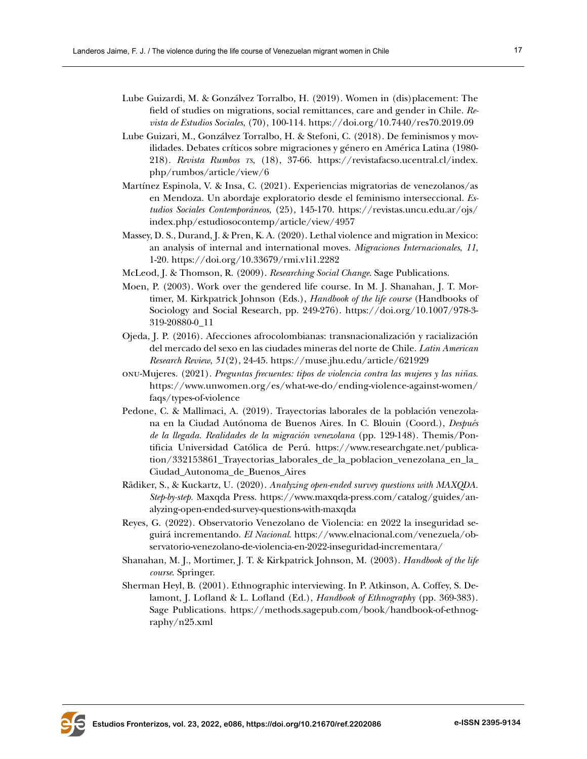- Lube Guizardi, M. & Gonzálvez Torralbo, H. (2019). Women in (dis)placement: The field of studies on migrations, social remittances, care and gender in Chile. *Revista de Estudios Sociales*, (70), 100-114. [https://doi.org/10.7440/res70.2019.09](https://doi.org/10.7440/res70.2019.09 )
- Lube Guizari, M., Gonzálvez Torralbo, H. & Stefoni, C. (2018). De feminismos y movilidades. Debates críticos sobre migraciones y género en América Latina (1980- 218). *Revista Rumbos ts*, (18), 37-66. [https://revistafacso.ucentral.cl/index.](https://revistafacso.ucentral.cl/index.php/rumbos/article/view/6) [php/rumbos/article/view/6](https://revistafacso.ucentral.cl/index.php/rumbos/article/view/6)
- Martínez Espinola, V. & Insa, C. (2021). Experiencias migratorias de venezolanos/as en Mendoza. Un abordaje exploratorio desde el feminismo interseccional. *Estudios Sociales Contemporáneos*, (25), 145-170. [https://revistas.uncu.edu.ar/ojs/](https://revistas.uncu.edu.ar/ojs/index.php/estudiosocontemp/article/view/4957) [index.php/estudiosocontemp/article/view/4957](https://revistas.uncu.edu.ar/ojs/index.php/estudiosocontemp/article/view/4957)
- Massey, D. S., Durand, J. & Pren, K. A. (2020). Lethal violence and migration in Mexico: an analysis of internal and international moves. *Migraciones Internacionales*, *11*, 1-20. <https://doi.org/10.33679/rmi.v1i1.2282>
- McLeod, J. & Thomson, R. (2009). *Researching Social Change*. Sage Publications.
- Moen, P. (2003). Work over the gendered life course. In M. J. Shanahan, J. T. Mortimer, M. Kirkpatrick Johnson (Eds.), *Handbook of the life course* (Handbooks of Sociology and Social Research, pp. 249-276). [https://doi.org/10.1007/978-3-](https://doi.org/10.1007/978-3-319-20880-0_11) [319-20880-0\\_11](https://doi.org/10.1007/978-3-319-20880-0_11)
- Ojeda, J. P. (2016). Afecciones afrocolombianas: transnacionalización y racialización del mercado del sexo en las ciudades mineras del norte de Chile. *Latin American Research Review*, *51*(2), 24-45.<https://muse.jhu.edu/article/621929>
- onu-Mujeres. (2021). *Preguntas frecuentes: tipos de violencia contra las mujeres y las niñas*. [https://www.unwomen.org/es/what-we-do/ending-violence-against-women/](https://www.unwomen.org/es/what-we-do/ending-violence-against-women/faqs/types-of-violence ) [faqs/types-of-violence](https://www.unwomen.org/es/what-we-do/ending-violence-against-women/faqs/types-of-violence )
- Pedone, C. & Mallimaci, A. (2019). Trayectorias laborales de la población venezolana en la Ciudad Autónoma de Buenos Aires. In C. Blouin (Coord.), *Después de la llegada. Realidades de la migración venezolana* (pp. 129-148). Themis/Pontificia Universidad Católica de Perú. [https://www.researchgate.net/publica](https://www.researchgate.net/publication/332153861_Trayectorias_laborales_de_la_poblacion_venezolana_en_la_Ciudad_Autonoma_de_Buenos_Aires)[tion/332153861\\_Trayectorias\\_laborales\\_de\\_la\\_poblacion\\_venezolana\\_en\\_la\\_](https://www.researchgate.net/publication/332153861_Trayectorias_laborales_de_la_poblacion_venezolana_en_la_Ciudad_Autonoma_de_Buenos_Aires) [Ciudad\\_Autonoma\\_de\\_Buenos\\_Aires](https://www.researchgate.net/publication/332153861_Trayectorias_laborales_de_la_poblacion_venezolana_en_la_Ciudad_Autonoma_de_Buenos_Aires)
- Rädiker, S., & Kuckartz, U. (2020). *Analyzing open-ended survey questions with MAXQDA. Step-by-step.* Maxqda Press. https://www.maxqda-press.com/catalog/guides/analyzing-open-ended-survey-questions-with-maxqda
- Reyes, G. (2022). Observatorio Venezolano de Violencia: en 2022 la inseguridad seguirá incrementando. *El Nacional*. [https://www.elnacional.com/venezuela/ob](https://www.elnacional.com/venezuela/observatorio-venezolano-de-violencia-en-2022-inseguridad-incrementara/)[servatorio-venezolano-de-violencia-en-2022-inseguridad-incrementara/](https://www.elnacional.com/venezuela/observatorio-venezolano-de-violencia-en-2022-inseguridad-incrementara/)
- Shanahan, M. J., Mortimer, J. T. & Kirkpatrick Johnson, M. (2003). *Handbook of the life course*. Springer.
- Sherman Heyl, B. (2001). Ethnographic interviewing. In P. Atkinson, A. Coffey, S. Delamont, J. Lofland & L. Lofland (Ed.), *Handbook of Ethnography* (pp. 369-383). Sage Publications. [https://methods.sagepub.com/book/handbook-of-ethnog](https://methods.sagepub.com/book/handbook-of-ethnography/n25.xml)[raphy/n25.xml](https://methods.sagepub.com/book/handbook-of-ethnography/n25.xml)

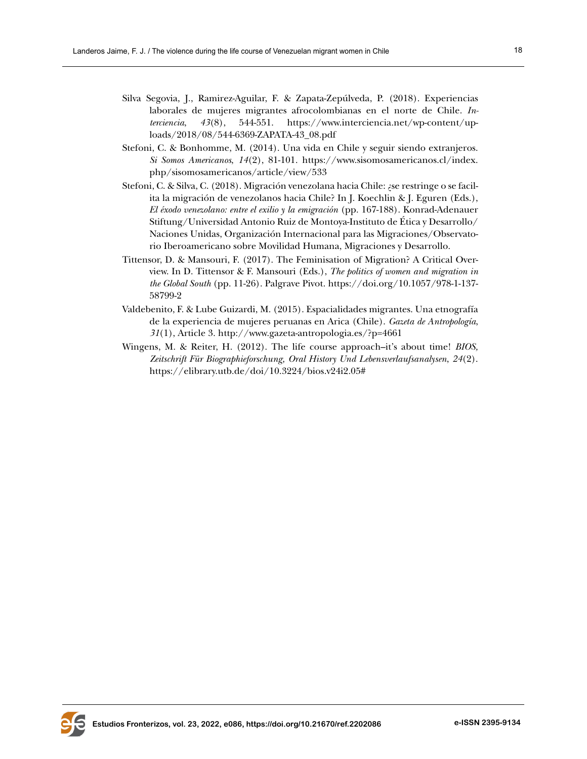- Silva Segovia, J., Ramirez-Aguilar, F. & Zapata-Zepúlveda, P. (2018). Experiencias laborales de mujeres migrantes afrocolombianas en el norte de Chile. *Interciencia*, *43*(8), 544-551. [https://www.interciencia.net/wp-content/up](https://www.interciencia.net/wp-content/uploads/2018/08/544-6369-ZAPATA-43_08.pdf)[loads/2018/08/544-6369-ZAPATA-43\\_08.pdf](https://www.interciencia.net/wp-content/uploads/2018/08/544-6369-ZAPATA-43_08.pdf)
- Stefoni, C. & Bonhomme, M. (2014). Una vida en Chile y seguir siendo extranjeros. *Si Somos Americanos*, *14*(2), 81-101. [https://www.sisomosamericanos.cl/index.](https://www.sisomosamericanos.cl/index.php/sisomosamericanos/article/view/533) [php/sisomosamericanos/article/view/533](https://www.sisomosamericanos.cl/index.php/sisomosamericanos/article/view/533)
- Stefoni, C. & Silva, C. (2018). Migración venezolana hacia Chile: ¿se restringe o se facilita la migración de venezolanos hacia Chile? In J. Koechlin & J. Eguren (Eds.), *El éxodo venezolano: entre el exilio y la emigración* (pp. 167-188). Konrad-Adenauer Stiftung/Universidad Antonio Ruiz de Montoya-Instituto de Ética y Desarrollo/ Naciones Unidas, Organización Internacional para las Migraciones/Observatorio Iberoamericano sobre Movilidad Humana, Migraciones y Desarrollo.
- Tittensor, D. & Mansouri, F. (2017). The Feminisation of Migration? A Critical Overview. In D. Tittensor & F. Mansouri (Eds.), *The politics of women and migration in the Global South* (pp. 11-26). Palgrave Pivot. [https://doi.org/10.1057/978-1-137-](https://doi.org/10.1057/978-1-137-58799-2) [58799-2](https://doi.org/10.1057/978-1-137-58799-2)
- Valdebenito, F. & Lube Guizardi, M. (2015). Espacialidades migrantes. Una etnografía de la experiencia de mujeres peruanas en Arica (Chile). *Gazeta de Antropología*, *31*(1), Article 3. <http://www.gazeta-antropologia.es/?p=4661>
- Wingens, M. & Reiter, H. (2012). The life course approach–it's about time! *BIOS, Zeitschrift Für Biographieforschung, Oral History Und Lebensverlaufsanalysen*, *24*(2). <https://elibrary.utb.de/doi/10.3224/bios.v24i2.05#>